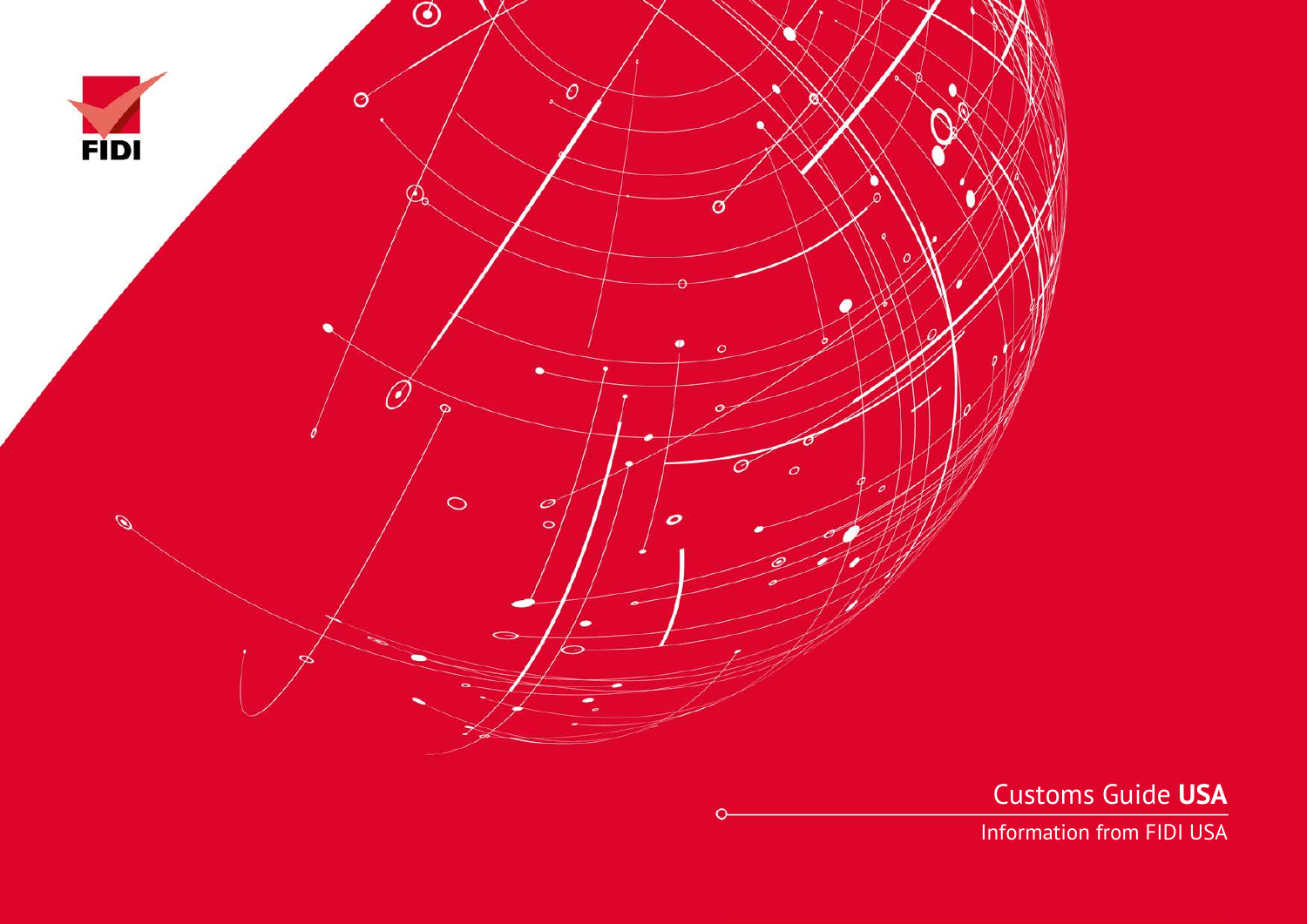

Customs Guide **USA**

Information from FIDI USA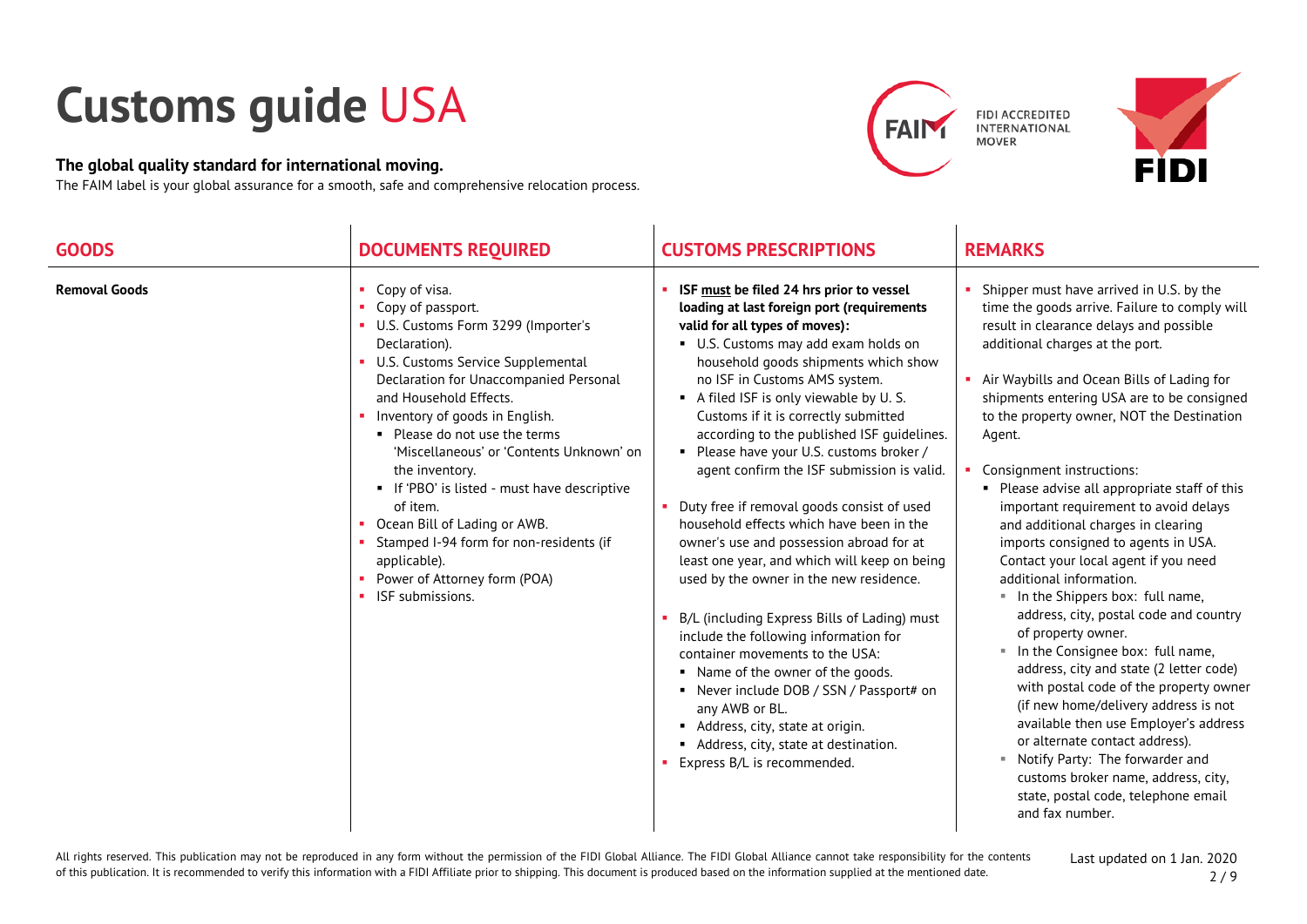## **Customs guide** USA

## **The global quality standard for international moving.**

The FAIM label is your global assurance for a smooth, safe and comprehensive relocation process.



| <b>GOODS</b>         | <b>DOCUMENTS REQUIRED</b>                                                                                                                                                                                                                                                                                                                                                                                                                                                                                                                                           | <b>CUSTOMS PRESCRIPTIONS</b>                                                                                                                                                                                                                                                                                                                                                                                                                                                                                                                                                                                                                                                                                                                                                                                                                                                                                                                                                                                                              | <b>REMARKS</b>                                                                                                                                                                                                                                                                                                                                                                                                                                                                                                                                                                                                                                                                                                                                                                                                                                                                                                                                                                                                                                                                          |
|----------------------|---------------------------------------------------------------------------------------------------------------------------------------------------------------------------------------------------------------------------------------------------------------------------------------------------------------------------------------------------------------------------------------------------------------------------------------------------------------------------------------------------------------------------------------------------------------------|-------------------------------------------------------------------------------------------------------------------------------------------------------------------------------------------------------------------------------------------------------------------------------------------------------------------------------------------------------------------------------------------------------------------------------------------------------------------------------------------------------------------------------------------------------------------------------------------------------------------------------------------------------------------------------------------------------------------------------------------------------------------------------------------------------------------------------------------------------------------------------------------------------------------------------------------------------------------------------------------------------------------------------------------|-----------------------------------------------------------------------------------------------------------------------------------------------------------------------------------------------------------------------------------------------------------------------------------------------------------------------------------------------------------------------------------------------------------------------------------------------------------------------------------------------------------------------------------------------------------------------------------------------------------------------------------------------------------------------------------------------------------------------------------------------------------------------------------------------------------------------------------------------------------------------------------------------------------------------------------------------------------------------------------------------------------------------------------------------------------------------------------------|
| <b>Removal Goods</b> | $\blacksquare$ Copy of visa.<br>Copy of passport.<br>U.S. Customs Form 3299 (Importer's<br>Declaration).<br>• U.S. Customs Service Supplemental<br>Declaration for Unaccompanied Personal<br>and Household Effects.<br>• Inventory of goods in English.<br>• Please do not use the terms<br>'Miscellaneous' or 'Contents Unknown' on<br>the inventory.<br>• If 'PBO' is listed - must have descriptive<br>of item.<br>Ocean Bill of Lading or AWB.<br>Stamped I-94 form for non-residents (if<br>applicable).<br>• Power of Attorney form (POA)<br>ISF submissions. | ISF must be filed 24 hrs prior to vessel<br>loading at last foreign port (requirements<br>valid for all types of moves):<br>U.S. Customs may add exam holds on<br>household goods shipments which show<br>no ISF in Customs AMS system.<br>A filed ISF is only viewable by U.S.<br>Customs if it is correctly submitted<br>according to the published ISF guidelines.<br>• Please have your U.S. customs broker /<br>agent confirm the ISF submission is valid.<br>Duty free if removal goods consist of used<br>household effects which have been in the<br>owner's use and possession abroad for at<br>least one year, and which will keep on being<br>used by the owner in the new residence.<br>B/L (including Express Bills of Lading) must<br>include the following information for<br>container movements to the USA:<br>• Name of the owner of the goods.<br>• Never include DOB / SSN / Passport# on<br>any AWB or BL.<br>Address, city, state at origin.<br>Address, city, state at destination.<br>Express B/L is recommended. | Shipper must have arrived in U.S. by the<br>time the goods arrive. Failure to comply will<br>result in clearance delays and possible<br>additional charges at the port.<br>Air Waybills and Ocean Bills of Lading for<br>shipments entering USA are to be consigned<br>to the property owner, NOT the Destination<br>Agent.<br>Consignment instructions:<br>• Please advise all appropriate staff of this<br>important requirement to avoid delays<br>and additional charges in clearing<br>imports consigned to agents in USA.<br>Contact your local agent if you need<br>additional information.<br>" In the Shippers box: full name,<br>address, city, postal code and country<br>of property owner.<br>In the Consignee box: full name,<br>address, city and state (2 letter code)<br>with postal code of the property owner<br>(if new home/delivery address is not<br>available then use Employer's address<br>or alternate contact address).<br>Notify Party: The forwarder and<br>customs broker name, address, city,<br>state, postal code, telephone email<br>and fax number. |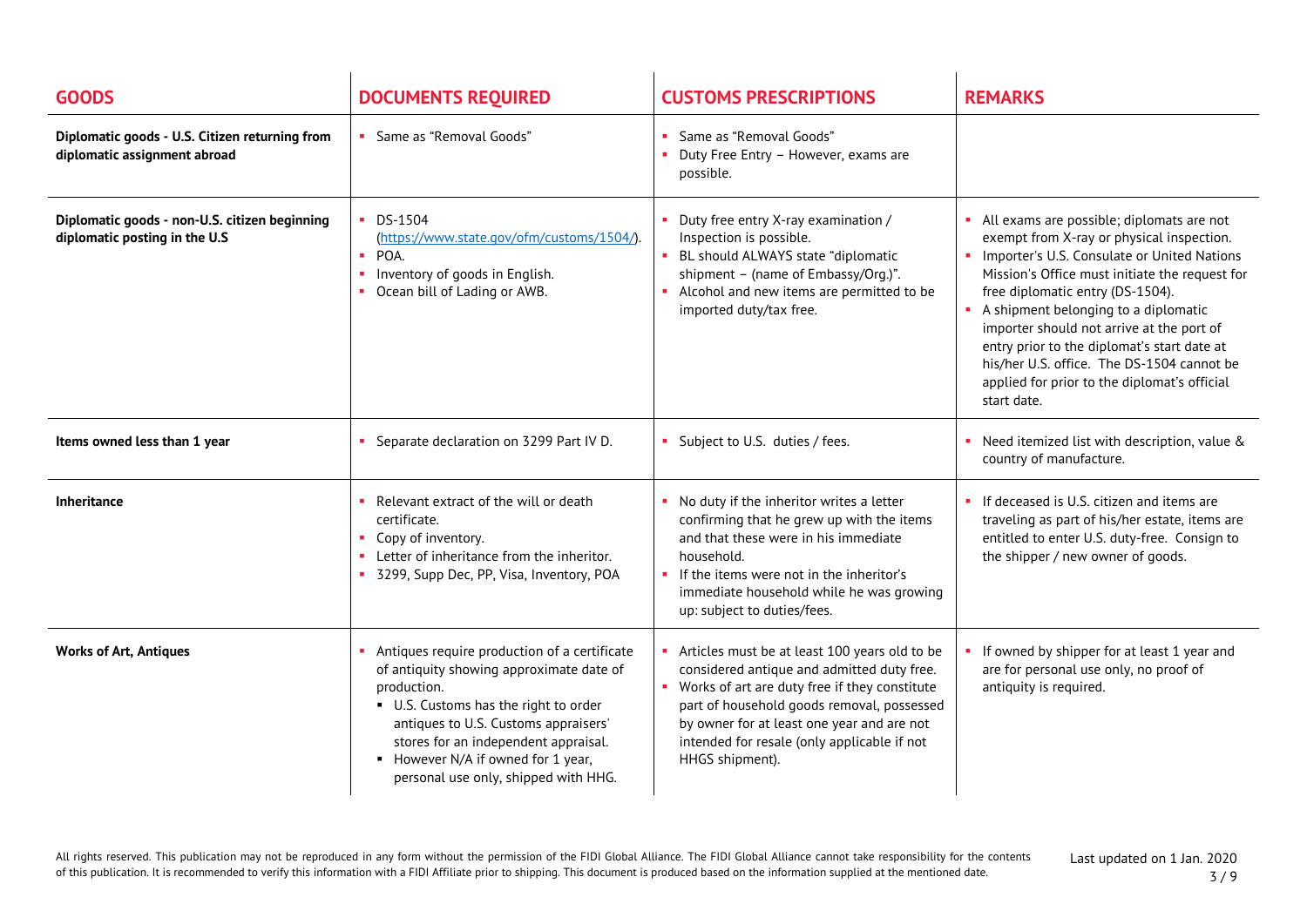| <b>GOODS</b>                                                                   | <b>DOCUMENTS REQUIRED</b>                                                                                                                                                                                                                                                                                  | <b>CUSTOMS PRESCRIPTIONS</b>                                                                                                                                                                                                                                                                               | <b>REMARKS</b>                                                                                                                                                                                                                                                                                                                                                                                                                                                                   |
|--------------------------------------------------------------------------------|------------------------------------------------------------------------------------------------------------------------------------------------------------------------------------------------------------------------------------------------------------------------------------------------------------|------------------------------------------------------------------------------------------------------------------------------------------------------------------------------------------------------------------------------------------------------------------------------------------------------------|----------------------------------------------------------------------------------------------------------------------------------------------------------------------------------------------------------------------------------------------------------------------------------------------------------------------------------------------------------------------------------------------------------------------------------------------------------------------------------|
| Diplomatic goods - U.S. Citizen returning from<br>diplomatic assignment abroad | • Same as "Removal Goods"                                                                                                                                                                                                                                                                                  | Same as "Removal Goods"<br>Duty Free Entry - However, exams are<br>possible.                                                                                                                                                                                                                               |                                                                                                                                                                                                                                                                                                                                                                                                                                                                                  |
| Diplomatic goods - non-U.S. citizen beginning<br>diplomatic posting in the U.S | $\blacksquare$ DS-1504<br>(https://www.state.gov/ofm/customs/1504/).<br>POA.<br>Inventory of goods in English.<br>• Ocean bill of Lading or AWB.                                                                                                                                                           | Duty free entry X-ray examination /<br>Inspection is possible.<br>BL should ALWAYS state "diplomatic<br>shipment - (name of Embassy/Org.)".<br>Alcohol and new items are permitted to be<br>imported duty/tax free.                                                                                        | • All exams are possible; diplomats are not<br>exempt from X-ray or physical inspection.<br>• Importer's U.S. Consulate or United Nations<br>Mission's Office must initiate the request for<br>free diplomatic entry (DS-1504).<br>A shipment belonging to a diplomatic<br>importer should not arrive at the port of<br>entry prior to the diplomat's start date at<br>his/her U.S. office. The DS-1504 cannot be<br>applied for prior to the diplomat's official<br>start date. |
| Items owned less than 1 year                                                   | Separate declaration on 3299 Part IV D.<br>$\mathbf{u}$                                                                                                                                                                                                                                                    | Subject to U.S. duties / fees.                                                                                                                                                                                                                                                                             | • Need itemized list with description, value &<br>country of manufacture.                                                                                                                                                                                                                                                                                                                                                                                                        |
| <b>Inheritance</b>                                                             | Relevant extract of the will or death<br>certificate.<br>• Copy of inventory.<br>• Letter of inheritance from the inheritor.<br>3299, Supp Dec, PP, Visa, Inventory, POA                                                                                                                                   | No duty if the inheritor writes a letter<br>confirming that he grew up with the items<br>and that these were in his immediate<br>household.<br>If the items were not in the inheritor's<br>immediate household while he was growing<br>up: subject to duties/fees.                                         | • If deceased is U.S. citizen and items are<br>traveling as part of his/her estate, items are<br>entitled to enter U.S. duty-free. Consign to<br>the shipper / new owner of goods.                                                                                                                                                                                                                                                                                               |
| <b>Works of Art, Antiques</b>                                                  | Antiques require production of a certificate<br>of antiquity showing approximate date of<br>production.<br>U.S. Customs has the right to order<br>antiques to U.S. Customs appraisers'<br>stores for an independent appraisal.<br>However N/A if owned for 1 year,<br>personal use only, shipped with HHG. | Articles must be at least 100 years old to be<br>considered antique and admitted duty free.<br>Works of art are duty free if they constitute<br>part of household goods removal, possessed<br>by owner for at least one year and are not<br>intended for resale (only applicable if not<br>HHGS shipment). | If owned by shipper for at least 1 year and<br>are for personal use only, no proof of<br>antiquity is required.                                                                                                                                                                                                                                                                                                                                                                  |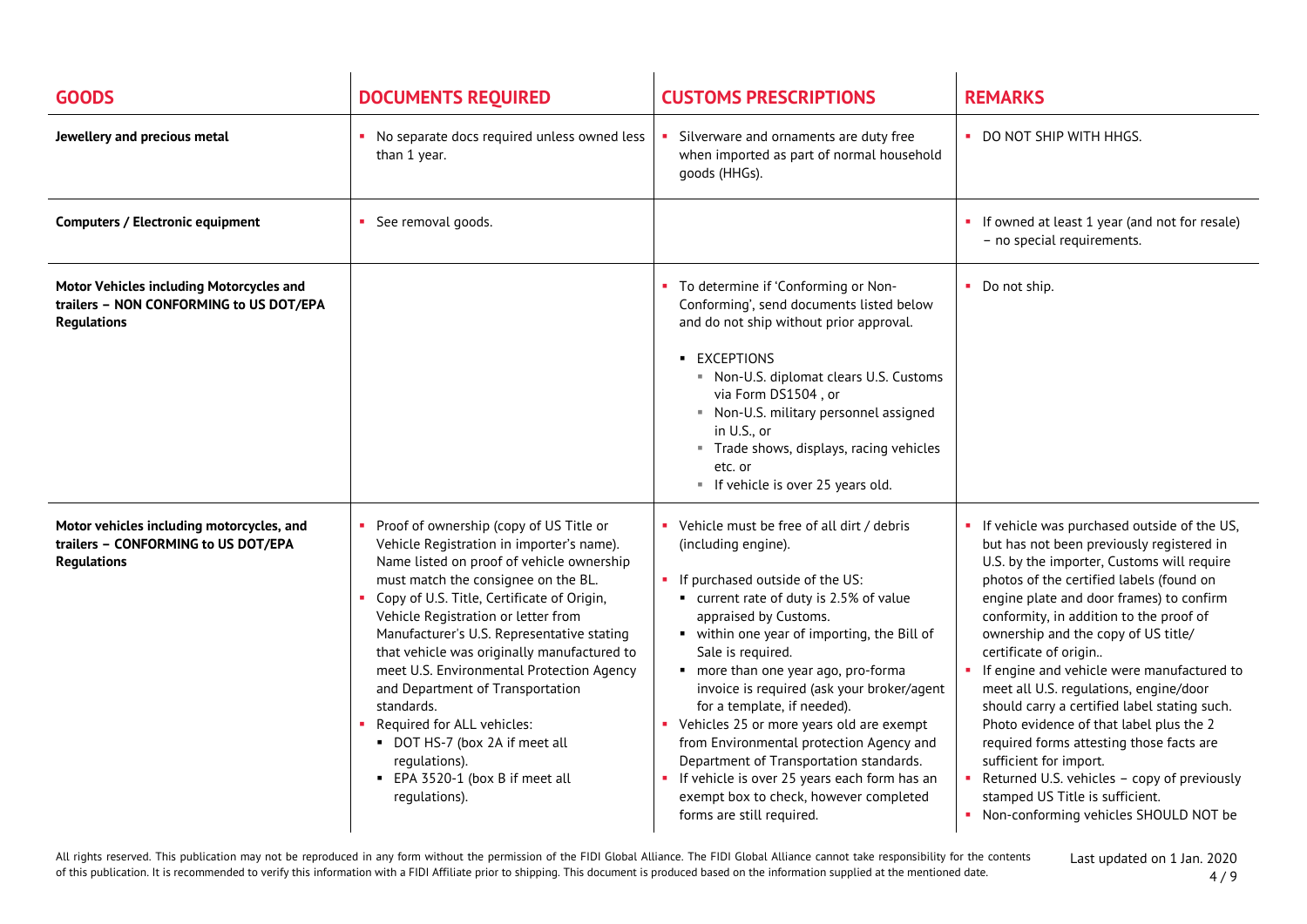| <b>GOODS</b>                                                                                              | <b>DOCUMENTS REQUIRED</b>                                                                                                                                                                                                                                                                                                                                                                                                                                                                                                                                                                      | <b>CUSTOMS PRESCRIPTIONS</b>                                                                                                                                                                                                                                                                                                                                                                                                                                                                                                                                                                                            | <b>REMARKS</b>                                                                                                                                                                                                                                                                                                                                                                                                                                                                                                                                                                                                                                                                                                                      |
|-----------------------------------------------------------------------------------------------------------|------------------------------------------------------------------------------------------------------------------------------------------------------------------------------------------------------------------------------------------------------------------------------------------------------------------------------------------------------------------------------------------------------------------------------------------------------------------------------------------------------------------------------------------------------------------------------------------------|-------------------------------------------------------------------------------------------------------------------------------------------------------------------------------------------------------------------------------------------------------------------------------------------------------------------------------------------------------------------------------------------------------------------------------------------------------------------------------------------------------------------------------------------------------------------------------------------------------------------------|-------------------------------------------------------------------------------------------------------------------------------------------------------------------------------------------------------------------------------------------------------------------------------------------------------------------------------------------------------------------------------------------------------------------------------------------------------------------------------------------------------------------------------------------------------------------------------------------------------------------------------------------------------------------------------------------------------------------------------------|
| Jewellery and precious metal                                                                              | • No separate docs required unless owned less<br>than 1 year.                                                                                                                                                                                                                                                                                                                                                                                                                                                                                                                                  | Silverware and ornaments are duty free<br>when imported as part of normal household<br>goods (HHGs).                                                                                                                                                                                                                                                                                                                                                                                                                                                                                                                    | • DO NOT SHIP WITH HHGS.                                                                                                                                                                                                                                                                                                                                                                                                                                                                                                                                                                                                                                                                                                            |
| <b>Computers / Electronic equipment</b>                                                                   | • See removal goods.                                                                                                                                                                                                                                                                                                                                                                                                                                                                                                                                                                           |                                                                                                                                                                                                                                                                                                                                                                                                                                                                                                                                                                                                                         | • If owned at least 1 year (and not for resale)<br>- no special requirements.                                                                                                                                                                                                                                                                                                                                                                                                                                                                                                                                                                                                                                                       |
| Motor Vehicles including Motorcycles and<br>trailers - NON CONFORMING to US DOT/EPA<br><b>Regulations</b> |                                                                                                                                                                                                                                                                                                                                                                                                                                                                                                                                                                                                | To determine if 'Conforming or Non-<br>Conforming', send documents listed below<br>and do not ship without prior approval.<br><b>EXCEPTIONS</b><br>Non-U.S. diplomat clears U.S. Customs<br>via Form DS1504, or<br>Non-U.S. military personnel assigned<br>in U.S., or<br>" Trade shows, displays, racing vehicles<br>etc. or<br>" If vehicle is over 25 years old.                                                                                                                                                                                                                                                     | • Do not ship.                                                                                                                                                                                                                                                                                                                                                                                                                                                                                                                                                                                                                                                                                                                      |
| Motor vehicles including motorcycles, and<br>trailers - CONFORMING to US DOT/EPA<br><b>Regulations</b>    | Proof of ownership (copy of US Title or<br>Vehicle Registration in importer's name).<br>Name listed on proof of vehicle ownership<br>must match the consignee on the BL.<br>• Copy of U.S. Title, Certificate of Origin,<br>Vehicle Registration or letter from<br>Manufacturer's U.S. Representative stating<br>that vehicle was originally manufactured to<br>meet U.S. Environmental Protection Agency<br>and Department of Transportation<br>standards.<br>Required for ALL vehicles:<br>DOT HS-7 (box 2A if meet all<br>regulations).<br>• EPA 3520-1 (box B if meet all<br>regulations). | Vehicle must be free of all dirt / debris<br>(including engine).<br>If purchased outside of the US:<br>■ current rate of duty is 2.5% of value<br>appraised by Customs.<br>• within one year of importing, the Bill of<br>Sale is required.<br>more than one year ago, pro-forma<br>invoice is required (ask your broker/agent<br>for a template, if needed).<br>Vehicles 25 or more years old are exempt<br>from Environmental protection Agency and<br>Department of Transportation standards.<br>If vehicle is over 25 years each form has an<br>exempt box to check, however completed<br>forms are still required. | • If vehicle was purchased outside of the US,<br>but has not been previously registered in<br>U.S. by the importer, Customs will require<br>photos of the certified labels (found on<br>engine plate and door frames) to confirm<br>conformity, in addition to the proof of<br>ownership and the copy of US title/<br>certificate of origin<br>• If engine and vehicle were manufactured to<br>meet all U.S. regulations, engine/door<br>should carry a certified label stating such.<br>Photo evidence of that label plus the 2<br>required forms attesting those facts are<br>sufficient for import.<br>Returned U.S. vehicles - copy of previously<br>stamped US Title is sufficient.<br>• Non-conforming vehicles SHOULD NOT be |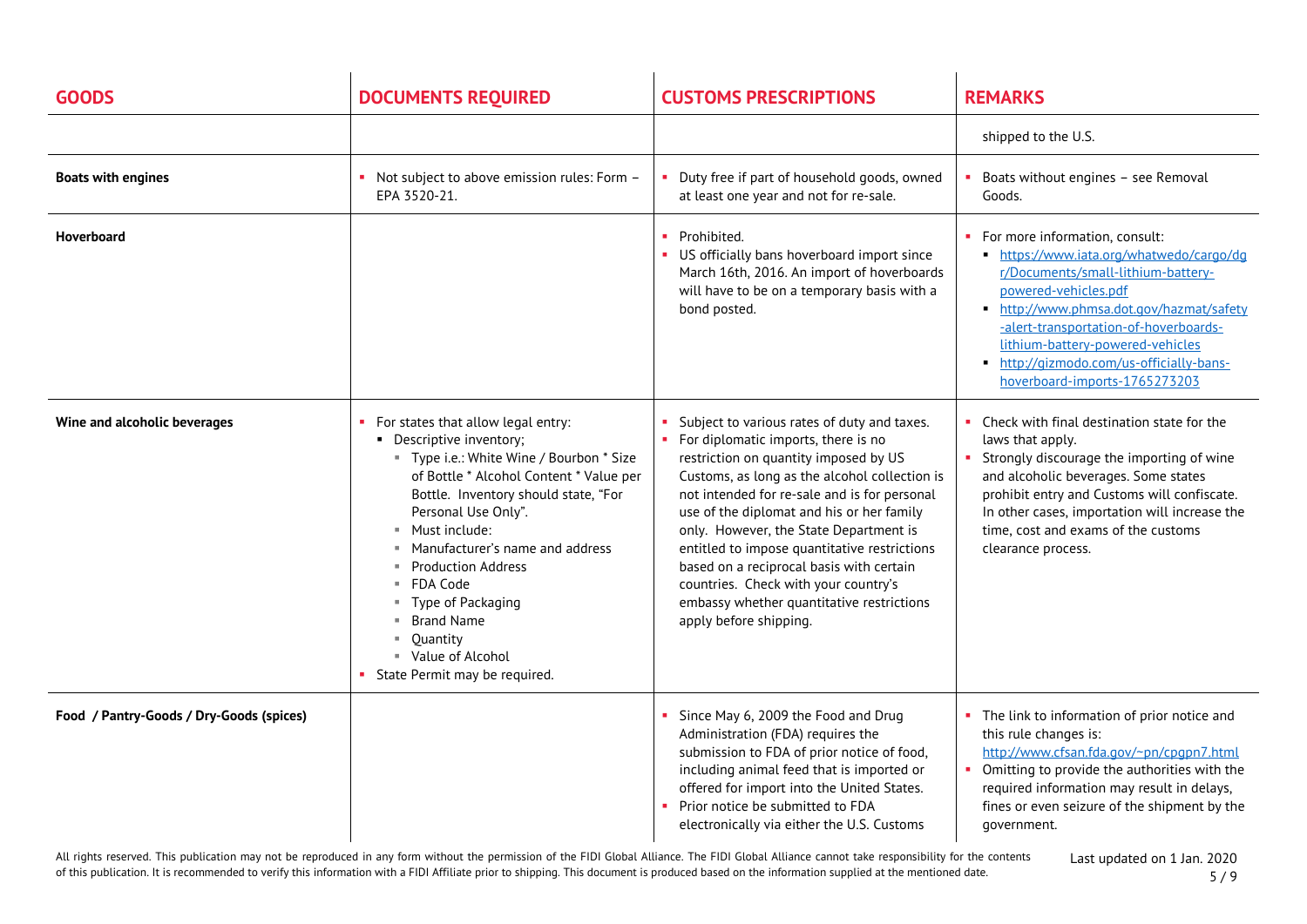| <b>GOODS</b>                             | <b>DOCUMENTS REQUIRED</b>                                                                                                                                                                                                                                                                                                                                                                                                                      | <b>CUSTOMS PRESCRIPTIONS</b>                                                                                                                                                                                                                                                                                                                                                                                                                                                                                                   | <b>REMARKS</b>                                                                                                                                                                                                                                                                                                                           |
|------------------------------------------|------------------------------------------------------------------------------------------------------------------------------------------------------------------------------------------------------------------------------------------------------------------------------------------------------------------------------------------------------------------------------------------------------------------------------------------------|--------------------------------------------------------------------------------------------------------------------------------------------------------------------------------------------------------------------------------------------------------------------------------------------------------------------------------------------------------------------------------------------------------------------------------------------------------------------------------------------------------------------------------|------------------------------------------------------------------------------------------------------------------------------------------------------------------------------------------------------------------------------------------------------------------------------------------------------------------------------------------|
|                                          |                                                                                                                                                                                                                                                                                                                                                                                                                                                |                                                                                                                                                                                                                                                                                                                                                                                                                                                                                                                                | shipped to the U.S.                                                                                                                                                                                                                                                                                                                      |
| <b>Boats with engines</b>                | Not subject to above emission rules: Form -<br>EPA 3520-21.                                                                                                                                                                                                                                                                                                                                                                                    | Duty free if part of household goods, owned<br>at least one year and not for re-sale.                                                                                                                                                                                                                                                                                                                                                                                                                                          | Boats without engines - see Removal<br>Goods.                                                                                                                                                                                                                                                                                            |
| Hoverboard                               |                                                                                                                                                                                                                                                                                                                                                                                                                                                | Prohibited.<br>US officially bans hoverboard import since<br>March 16th, 2016. An import of hoverboards<br>will have to be on a temporary basis with a<br>bond posted.                                                                                                                                                                                                                                                                                                                                                         | For more information, consult:<br>https://www.iata.org/whatwedo/cargo/dg<br>r/Documents/small-lithium-battery-<br>powered-vehicles.pdf<br>http://www.phmsa.dot.gov/hazmat/safety<br>-alert-transportation-of-hoverboards-<br>Lithium-battery-powered-vehicles<br>http://gizmodo.com/us-officially-bans-<br>hoverboard-imports-1765273203 |
| Wine and alcoholic beverages             | • For states that allow legal entry:<br>• Descriptive inventory;<br>" Type i.e.: White Wine / Bourbon * Size<br>of Bottle * Alcohol Content * Value per<br>Bottle. Inventory should state, "For<br>Personal Use Only".<br>Must include:<br><b>III</b><br>Manufacturer's name and address<br><b>Production Address</b><br>FDA Code<br>Type of Packaging<br><b>Brand Name</b><br>Quantity<br>■ Value of Alcohol<br>State Permit may be required. | Subject to various rates of duty and taxes.<br>For diplomatic imports, there is no<br>restriction on quantity imposed by US<br>Customs, as long as the alcohol collection is<br>not intended for re-sale and is for personal<br>use of the diplomat and his or her family<br>only. However, the State Department is<br>entitled to impose quantitative restrictions<br>based on a reciprocal basis with certain<br>countries. Check with your country's<br>embassy whether quantitative restrictions<br>apply before shipping. | Check with final destination state for the<br>laws that apply.<br>Strongly discourage the importing of wine<br>and alcoholic beverages. Some states<br>prohibit entry and Customs will confiscate.<br>In other cases, importation will increase the<br>time, cost and exams of the customs<br>clearance process.                         |
| Food / Pantry-Goods / Dry-Goods (spices) |                                                                                                                                                                                                                                                                                                                                                                                                                                                | Since May 6, 2009 the Food and Drug<br>Administration (FDA) requires the<br>submission to FDA of prior notice of food,<br>including animal feed that is imported or<br>offered for import into the United States.<br>Prior notice be submitted to FDA<br>electronically via either the U.S. Customs                                                                                                                                                                                                                            | The link to information of prior notice and<br>this rule changes is:<br>http://www.cfsan.fda.gov/~pn/cpgpn7.html<br>Omitting to provide the authorities with the<br>required information may result in delays,<br>fines or even seizure of the shipment by the<br>government.                                                            |

All rights reserved. This publication may not be reproduced in any form without the permission of the FIDI Global Alliance. The FIDI Global Alliance cannot take responsibility for the contents of this publication. It is recommended to verify this information with a FIDI Affiliate prior to shipping. This document is produced based on the information supplied at the mentioned date.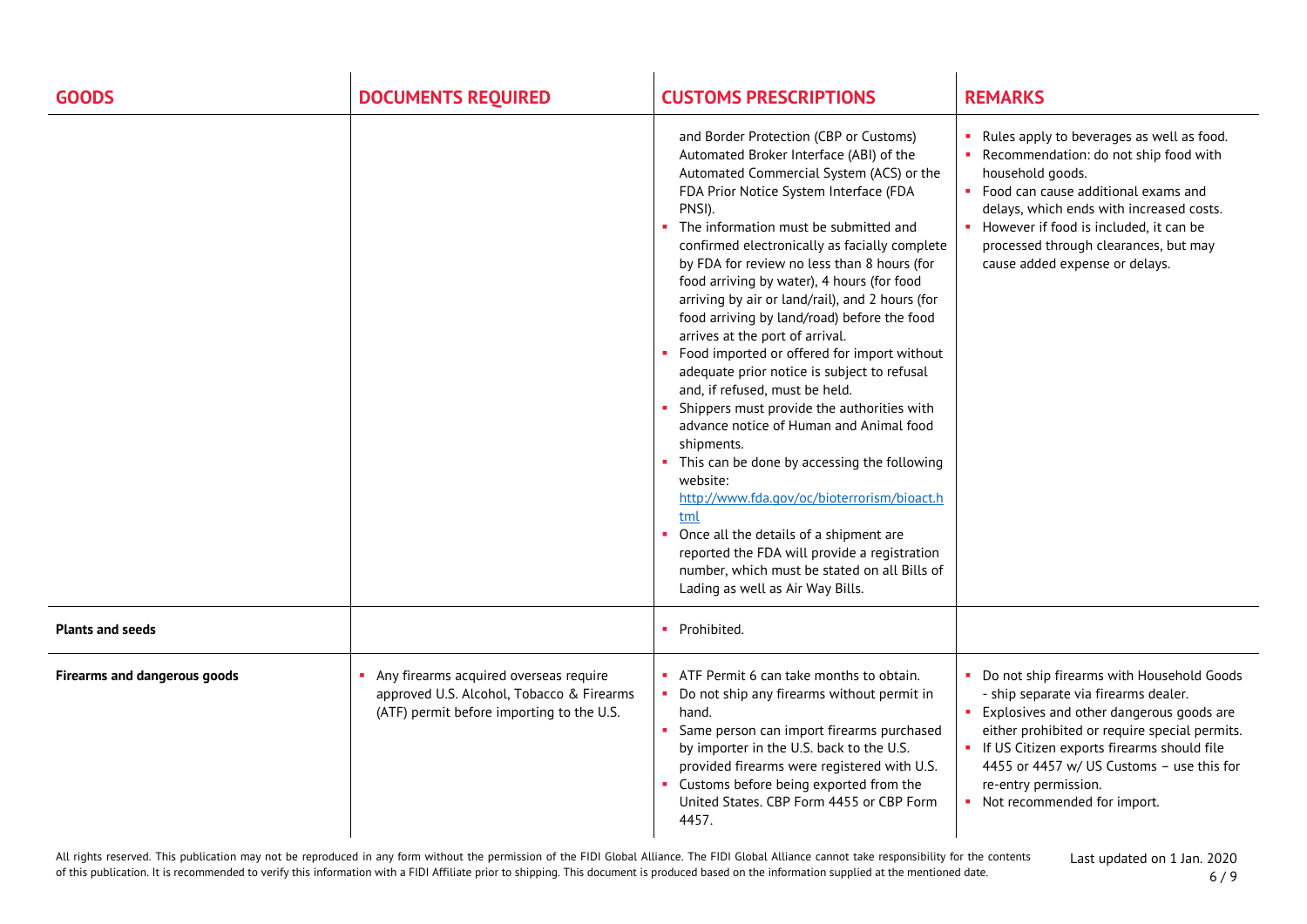| <b>GOODS</b>                        | <b>DOCUMENTS REQUIRED</b>                                                                                                        | <b>CUSTOMS PRESCRIPTIONS</b>                                                                                                                                                                                                                                                                                                                                                                                                                                                                                                                                                                                                                                                                                                                                                                                                                                                                                                                                                                                                                        | <b>REMARKS</b>                                                                                                                                                                                                                                                                                                                         |
|-------------------------------------|----------------------------------------------------------------------------------------------------------------------------------|-----------------------------------------------------------------------------------------------------------------------------------------------------------------------------------------------------------------------------------------------------------------------------------------------------------------------------------------------------------------------------------------------------------------------------------------------------------------------------------------------------------------------------------------------------------------------------------------------------------------------------------------------------------------------------------------------------------------------------------------------------------------------------------------------------------------------------------------------------------------------------------------------------------------------------------------------------------------------------------------------------------------------------------------------------|----------------------------------------------------------------------------------------------------------------------------------------------------------------------------------------------------------------------------------------------------------------------------------------------------------------------------------------|
|                                     |                                                                                                                                  | and Border Protection (CBP or Customs)<br>Automated Broker Interface (ABI) of the<br>Automated Commercial System (ACS) or the<br>FDA Prior Notice System Interface (FDA<br>PNSI).<br>The information must be submitted and<br>confirmed electronically as facially complete<br>by FDA for review no less than 8 hours (for<br>food arriving by water), 4 hours (for food<br>arriving by air or land/rail), and 2 hours (for<br>food arriving by land/road) before the food<br>arrives at the port of arrival.<br>Food imported or offered for import without<br>adequate prior notice is subject to refusal<br>and, if refused, must be held.<br>Shippers must provide the authorities with<br>advance notice of Human and Animal food<br>shipments.<br>This can be done by accessing the following<br>website:<br>http://www.fda.gov/oc/bioterrorism/bioact.h<br>tml<br>Once all the details of a shipment are<br>reported the FDA will provide a registration<br>number, which must be stated on all Bills of<br>Lading as well as Air Way Bills. | Rules apply to beverages as well as food.<br>• Recommendation: do not ship food with<br>household goods.<br>• Food can cause additional exams and<br>delays, which ends with increased costs.<br>• However if food is included, it can be<br>processed through clearances, but may<br>cause added expense or delays.                   |
| <b>Plants and seeds</b>             |                                                                                                                                  | Prohibited.<br>٠                                                                                                                                                                                                                                                                                                                                                                                                                                                                                                                                                                                                                                                                                                                                                                                                                                                                                                                                                                                                                                    |                                                                                                                                                                                                                                                                                                                                        |
| <b>Firearms and dangerous goods</b> | Any firearms acquired overseas require<br>approved U.S. Alcohol, Tobacco & Firearms<br>(ATF) permit before importing to the U.S. | ATF Permit 6 can take months to obtain.<br>Do not ship any firearms without permit in<br>×<br>hand.<br>Same person can import firearms purchased<br>by importer in the U.S. back to the U.S.<br>provided firearms were registered with U.S.<br>Customs before being exported from the<br>United States. CBP Form 4455 or CBP Form<br>4457.                                                                                                                                                                                                                                                                                                                                                                                                                                                                                                                                                                                                                                                                                                          | • Do not ship firearms with Household Goods<br>- ship separate via firearms dealer.<br>Explosives and other dangerous goods are<br>either prohibited or require special permits.<br>• If US Citizen exports firearms should file<br>4455 or 4457 w/ US Customs - use this for<br>re-entry permission.<br>• Not recommended for import. |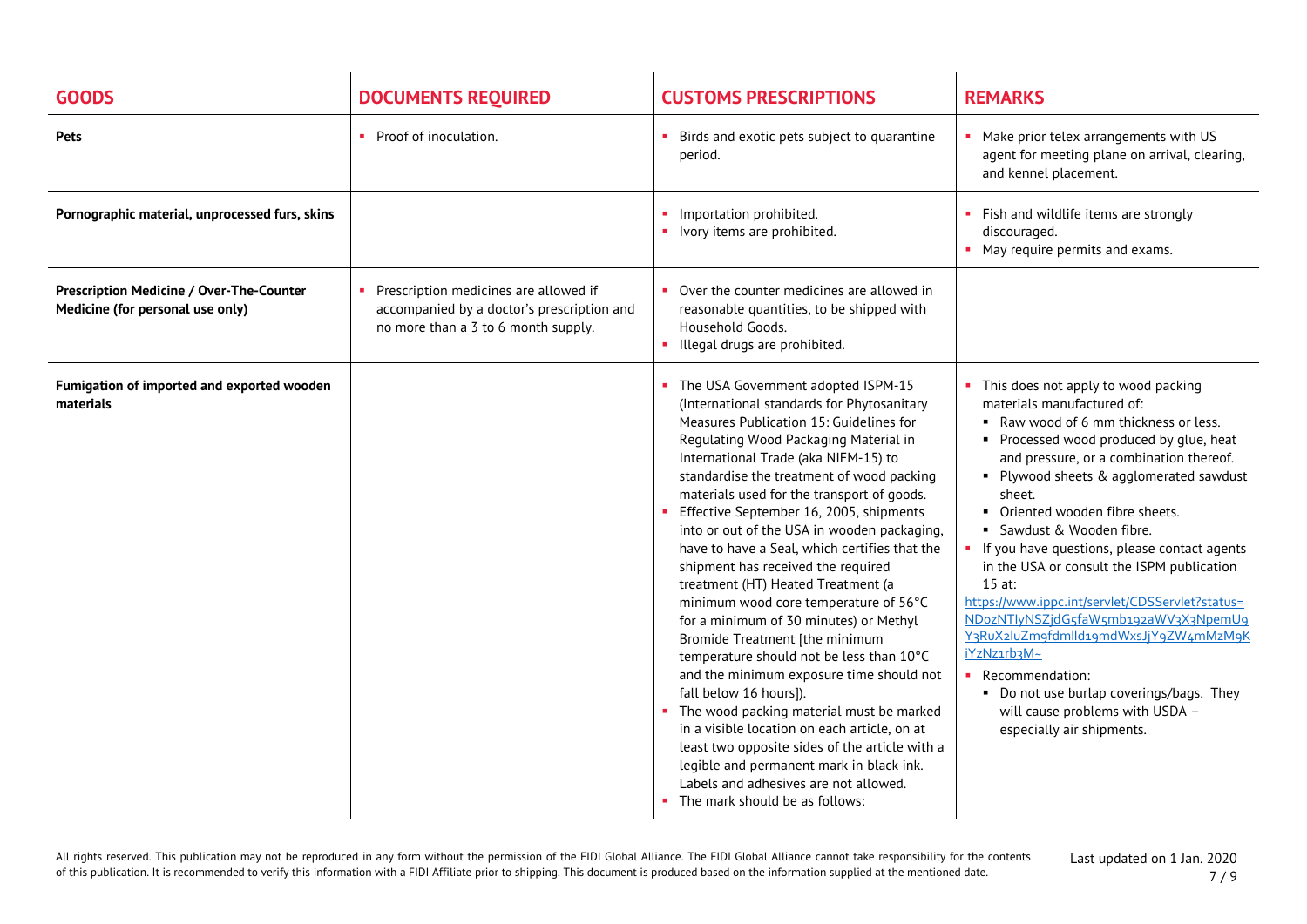| <b>GOODS</b>                                                                 | <b>DOCUMENTS REQUIRED</b>                                                                                                  | <b>CUSTOMS PRESCRIPTIONS</b>                                                                                                                                                                                                                                                                                                                                                                                                                                                                                                                                                                                                                                                                                                                                                                                                                                                                                                                                                                                                               | <b>REMARKS</b>                                                                                                                                                                                                                                                                                                                                                                                                                                                                                                                                                                                                                                                                                                  |
|------------------------------------------------------------------------------|----------------------------------------------------------------------------------------------------------------------------|--------------------------------------------------------------------------------------------------------------------------------------------------------------------------------------------------------------------------------------------------------------------------------------------------------------------------------------------------------------------------------------------------------------------------------------------------------------------------------------------------------------------------------------------------------------------------------------------------------------------------------------------------------------------------------------------------------------------------------------------------------------------------------------------------------------------------------------------------------------------------------------------------------------------------------------------------------------------------------------------------------------------------------------------|-----------------------------------------------------------------------------------------------------------------------------------------------------------------------------------------------------------------------------------------------------------------------------------------------------------------------------------------------------------------------------------------------------------------------------------------------------------------------------------------------------------------------------------------------------------------------------------------------------------------------------------------------------------------------------------------------------------------|
| <b>Pets</b>                                                                  | • Proof of inoculation.                                                                                                    | Birds and exotic pets subject to quarantine<br>period.                                                                                                                                                                                                                                                                                                                                                                                                                                                                                                                                                                                                                                                                                                                                                                                                                                                                                                                                                                                     | Make prior telex arrangements with US<br>agent for meeting plane on arrival, clearing,<br>and kennel placement.                                                                                                                                                                                                                                                                                                                                                                                                                                                                                                                                                                                                 |
| Pornographic material, unprocessed furs, skins                               |                                                                                                                            | Importation prohibited.<br>• Ivory items are prohibited.                                                                                                                                                                                                                                                                                                                                                                                                                                                                                                                                                                                                                                                                                                                                                                                                                                                                                                                                                                                   | Fish and wildlife items are strongly<br>discouraged.<br>May require permits and exams.                                                                                                                                                                                                                                                                                                                                                                                                                                                                                                                                                                                                                          |
| Prescription Medicine / Over-The-Counter<br>Medicine (for personal use only) | Prescription medicines are allowed if<br>accompanied by a doctor's prescription and<br>no more than a 3 to 6 month supply. | Over the counter medicines are allowed in<br>reasonable quantities, to be shipped with<br>Household Goods.<br>Illegal drugs are prohibited.                                                                                                                                                                                                                                                                                                                                                                                                                                                                                                                                                                                                                                                                                                                                                                                                                                                                                                |                                                                                                                                                                                                                                                                                                                                                                                                                                                                                                                                                                                                                                                                                                                 |
| Fumigation of imported and exported wooden<br>materials                      |                                                                                                                            | The USA Government adopted ISPM-15<br>(International standards for Phytosanitary<br>Measures Publication 15: Guidelines for<br>Regulating Wood Packaging Material in<br>International Trade (aka NIFM-15) to<br>standardise the treatment of wood packing<br>materials used for the transport of goods.<br>Effective September 16, 2005, shipments<br>into or out of the USA in wooden packaging,<br>have to have a Seal, which certifies that the<br>shipment has received the required<br>treatment (HT) Heated Treatment (a<br>minimum wood core temperature of 56°C<br>for a minimum of 30 minutes) or Methyl<br>Bromide Treatment [the minimum<br>temperature should not be less than 10°C<br>and the minimum exposure time should not<br>fall below 16 hours]).<br>The wood packing material must be marked<br>in a visible location on each article, on at<br>least two opposite sides of the article with a<br>legible and permanent mark in black ink.<br>Labels and adhesives are not allowed.<br>The mark should be as follows: | This does not apply to wood packing<br>materials manufactured of:<br>Raw wood of 6 mm thickness or less.<br>• Processed wood produced by glue, heat<br>and pressure, or a combination thereof.<br>• Plywood sheets & agglomerated sawdust<br>sheet.<br>Oriented wooden fibre sheets.<br>• Sawdust & Wooden fibre.<br>• If you have questions, please contact agents<br>in the USA or consult the ISPM publication<br>$15$ at:<br>https://www.ippc.int/servlet/CDSServlet?status=<br>NDozNTlyNSZjdG5faW5mb192aWV3X3NpemU9<br>Y3RuX2luZmgfdmlld19mdWxsJjY9ZW4mMzM9K<br>iYzNz1rb3M~<br>Recommendation:<br>• Do not use burlap coverings/bags. They<br>will cause problems with USDA -<br>especially air shipments. |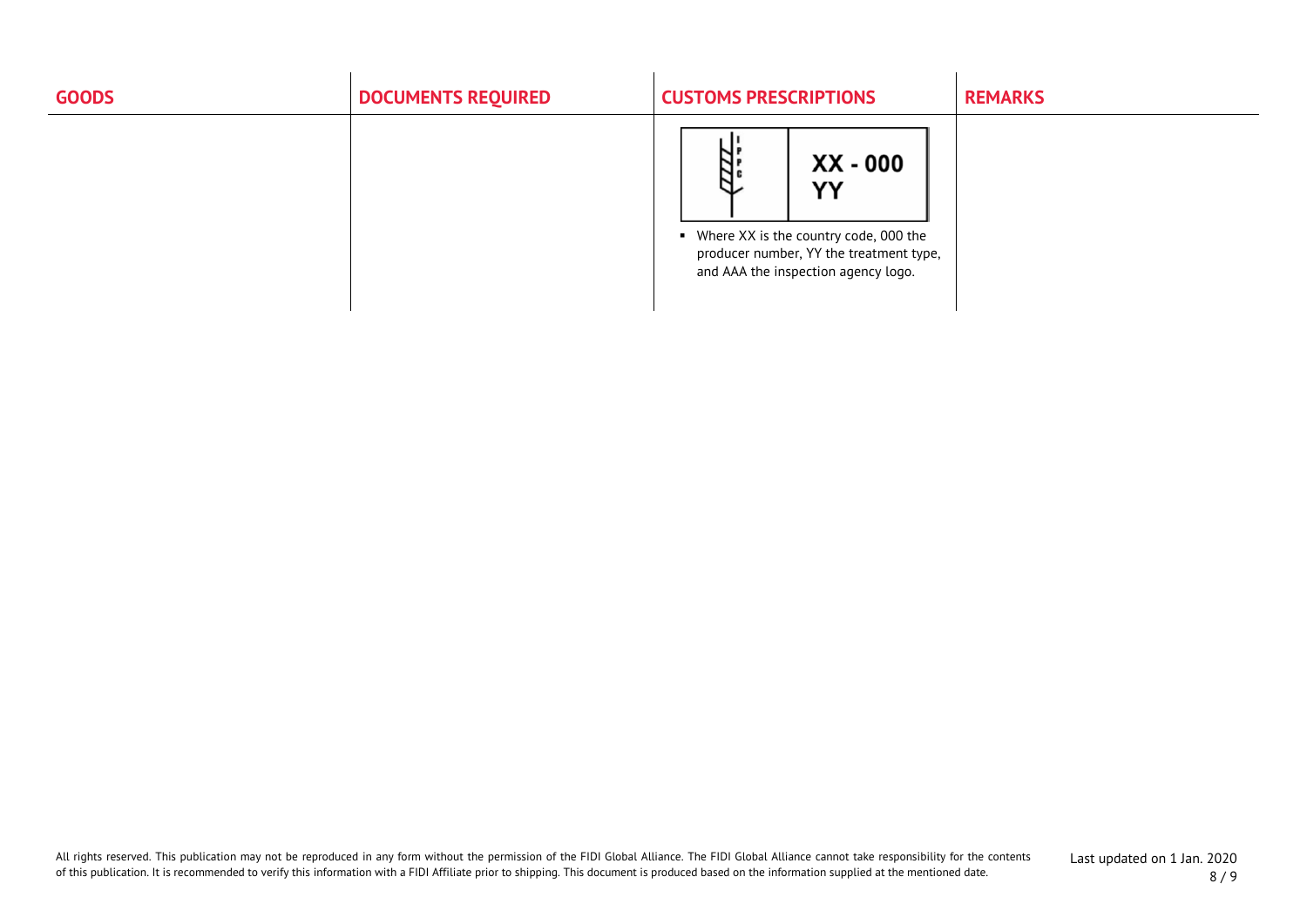| <b>GOODS</b> | <b>DOCUMENTS REQUIRED</b> | <b>CUSTOMS PRESCRIPTIONS</b>                                                                                                                      | <b>REMARKS</b> |
|--------------|---------------------------|---------------------------------------------------------------------------------------------------------------------------------------------------|----------------|
|              |                           | ĨШ<br>XX - 000<br>YY<br>• Where XX is the country code, 000 the<br>producer number, YY the treatment type,<br>and AAA the inspection agency logo. |                |